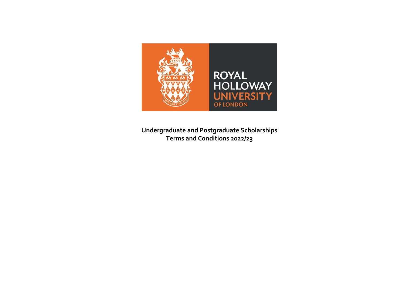

**Undergraduate and Postgraduate Scholarships Terms and Conditions 2022/23**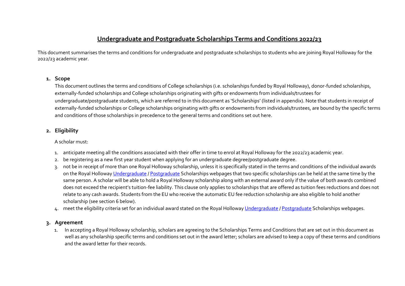# **Undergraduate and Postgraduate Scholarships Terms and Conditions 2022/23**

This document summarises the terms and conditions for undergraduate and postgraduate scholarships to students who are joining Royal Holloway for the 2022/23 academic year.

### **1. Scope**

This document outlines the terms and conditions of College scholarships (i.e. scholarships funded by Royal Holloway), donor-funded scholarships, externally-funded scholarships and College scholarships originating with gifts or endowments from individuals/trustees for undergraduate/postgraduate students, which are referred to in this document as 'Scholarships' (listed in appendix). Note that students in receipt of externally-funded scholarships or College scholarships originating with gifts or endowments from individuals/trustees, are bound by the specific terms and conditions of those scholarships in precedence to the general terms and conditions set out here.

# **2. Eligibility**

A scholar must:

- 1. anticipate meeting all the conditions associated with their offer in time to enrol at Royal Holloway for the 2022/23 academic year.
- 2. be registering as a new first year student when applying for an undergraduate degree/postgraduate degree.
- 3. not be in receipt of more than one Royal Holloway scholarship, unless it is specifically stated in the terms and conditions of the individual awards on the Royal Hollowa[y Undergraduate](https://www.royalholloway.ac.uk/studying-here/fees-and-funding/undergraduate/scholarships-and-bursaries/) [/ Postgraduate](https://www.royalholloway.ac.uk/studying-here/fees-and-funding/postgraduate/scholarships) Scholarships webpages that two specific scholarships can be held at the same time by the same person. A scholar will be able to hold a Royal Holloway scholarship along with an external award only if the value of both awards combined does not exceed the recipient's tuition-fee liability. This clause only applies to scholarships that are offered as tuition fees reductions and does not relate to any cash awards. Students from the EU who receive the automatic EU fee reduction scholarship are also eligible to hold another scholarship (see section 6 below).
- 4. meet the eligibility criteria set for an individual award stated on the Royal Holloway [Undergraduate](https://www.royalholloway.ac.uk/studying-here/fees-and-funding/undergraduate/scholarships-and-bursaries/) [/ Postgraduate](https://www.royalholloway.ac.uk/studying-here/fees-and-funding/postgraduate/scholarships) Scholarships webpages.

# **3. Agreement**

1. In accepting a Royal Holloway scholarship, scholars are agreeing to the Scholarships Terms and Conditions that are set out in this document as well as any scholarship specific terms and conditions set out in the award letter; scholars are advised to keep a copy of these terms and conditions and the award letter for their records.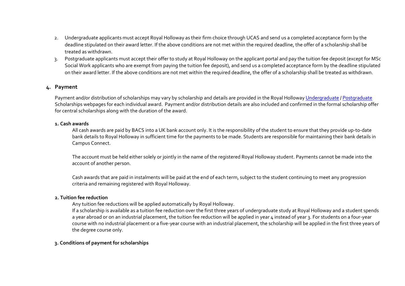- 2. Undergraduate applicants must accept Royal Holloway as their firm choice through UCAS and send us a completed acceptance form by the deadline stipulated on their award letter. If the above conditions are not met within the required deadline, the offer of a scholarship shall be treated as withdrawn.
- 3. Postgraduate applicants must accept their offer to study at Royal Holloway on the [applicant portal](https://admissions.royalholloway.ac.uk/AP/login.aspx) and pay the tuition fee deposit (except for MSc Social Work applicants who are exempt from paying the tuition fee deposit), and send us a completed acceptance form by the deadline stipulated on their award letter. If the above conditions are not met within the required deadline, the offer of a scholarship shall be treated as withdrawn.

#### **4. Payment**

Payment and/or distribution of scholarships may vary by scholarship and details are provided in the Royal Hollowa[y Undergraduate](https://www.royalholloway.ac.uk/studying-here/fees-and-funding/undergraduate/scholarships-and-bursaries/) [/ Postgraduate](https://www.royalholloway.ac.uk/studying-here/fees-and-funding/postgraduate/scholarships) Scholarships webpages for each individual award. Payment and/or distribution details are also included and confirmed in the formal scholarship offer for central scholarships along with the duration of the award.

#### **1. Cash awards**

All cash awards are paid by BACS into a UK bank account only. It is the responsibility of the student to ensure that they provide up-to-date bank details to Royal Holloway in sufficient time for the payments to be made. Students are responsible for maintaining their bank details in Campus Connect.

The account must be held either solely or jointly in the name of the registered Royal Holloway student. Payments cannot be made into the account of another person.

Cash awards that are paid in instalments will be paid at the end of each term, subject to the student continuing to meet any progression criteria and remaining registered with Royal Holloway.

#### **2. Tuition fee reduction**

Any tuition fee reductions will be applied automatically by Royal Holloway.

If a scholarship is available as a tuition fee reduction over the first three years of undergraduate study at Royal Holloway and a student spends a year abroad or on an industrial placement, the tuition fee reduction will be applied in year 4 instead of year 3. For students on a four-year course with no industrial placement or a five-year course with an industrial placement, the scholarship will be applied in the first three years of the degree course only.

#### **3. Conditions of payment for scholarships**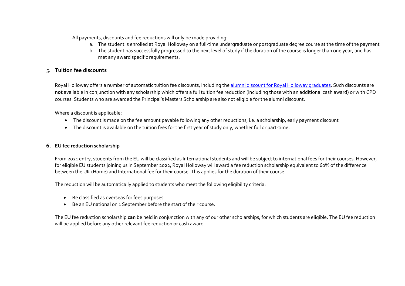All payments, discounts and fee reductions will only be made providing:

- a. The student is enrolled at Royal Holloway on a full-time undergraduate or postgraduate degree course at the time of the payment
- b. The student has successfully progressed to the next level of study if the duration of the course is longer than one year, and has met any award specific requirements.

# 5. **Tuition fee discounts**

Royal Holloway offers a number of automatic tuition fee discounts, including th[e alumni discount for Royal Holloway](https://www.royalholloway.ac.uk/about-us/our-alumni/for-alumni/get-involved/good-for-you/continue-your-education/) graduates. Such discounts are **not** available in conjunction with any scholarship which offers a full tuition fee reduction (including those with an additional cash award) or with CPD courses. Students who are awarded the Principal's Masters Scholarship are also not eligible for the alumni discount.

Where a discount is applicable:

- The discount is made on the fee amount payable following any other reductions, i.e. a scholarship, early payment discount
- The discount is available on the tuition fees for the first year of study only, whether full or part-time.

#### **6. EU fee reduction scholarship**

From 2021 entry, students from the EU will be classified as International students and will be subject to international fees for their courses. However, for eligible EU students joining us in September 2022, Royal Holloway will award a fee reduction scholarship equivalent to 60% of the difference between the UK (Home) and International fee for their course. This applies for the duration of their course.

The reduction will be automatically applied to students who meet the following eligibility criteria:

- Be classified as overseas for fees purposes
- Be an EU national on 1 September before the start of their course.

The EU fee reduction scholarship **can** be held in conjunction with any of our other scholarships, for which students are eligible. The EU fee reduction will be applied before any other relevant fee reduction or cash award.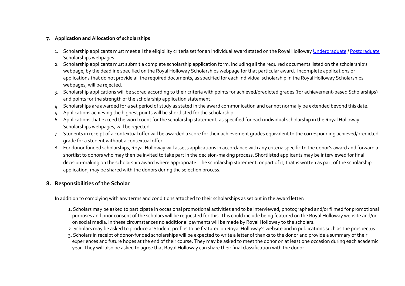# **7. Application and Allocation of scholarships**

- 1. Scholarship applicants must meet all the eligibility criteria set for an individual award stated on the Royal Hollowa[y Undergraduate](https://www.royalholloway.ac.uk/studying-here/fees-and-funding/undergraduate/scholarships-and-bursaries/) [/ Postgraduate](https://www.royalholloway.ac.uk/studying-here/fees-and-funding/postgraduate/scholarships) Scholarships webpages.
- 2. Scholarship applicants must submit a complete scholarship application form, including all the required documents listed on the scholarship's webpage, by the deadline specified on th[e Royal Holloway Scholarships webpage](https://www.royalholloway.ac.uk/studying-here/fees-and-funding/) for that particular award. Incomplete applications or applications that do not provide all the required documents, as specified for each individual scholarship in th[e Royal Holloway Scholarships](https://www.royalholloway.ac.uk/studying-here/fees-and-funding/)  [webpages,](https://www.royalholloway.ac.uk/studying-here/fees-and-funding/) will be rejected.
- 3. Scholarship applications will be scored according to their criteria with points for achieved/predicted grades (for achievement-based Scholarships) and points for the strength of the scholarship application statement.
- 4. Scholarships are awarded for a set period of study as stated in the award communication and cannot normally be extended beyond this date.
- 5. Applications achieving the highest points will be shortlisted for the scholarship.
- 6. Applications that exceed the word count for the scholarship statement, as specified for each individual scholarship in th[e Royal Holloway](https://www.royalholloway.ac.uk/studying-here/fees-and-funding/)  [Scholarships webpages,](https://www.royalholloway.ac.uk/studying-here/fees-and-funding/) will be rejected.
- 7. Students in receipt of a contextual offer will be awarded a score for their achievement grades equivalent to the corresponding achieved/predicted grade for a student without a contextual offer.
- 8. For donor funded scholarships, Royal Holloway will assess applications in accordance with any criteria specific to the donor's award and forward a shortlist to donors who may then be invited to take part in the decision-making process. Shortlisted applicants may be interviewed for final decision-making on the scholarship award where appropriate. The scholarship statement, or part of it, that is written as part of the scholarship application, may be shared with the donors during the selection process.

# **8. Responsibilities of the Scholar**

In addition to complying with any terms and conditions attached to their scholarships as set out in the award letter:

- 1. Scholars may be asked to participate in occasional promotional activities and to be interviewed, photographed and/or filmed for promotional purposes and prior consent of the scholars will be requested for this. This could include being featured on the Royal Holloway website and/or on social media. In these circumstances no additional payments will be made by Royal Holloway to the scholars.
- 2. Scholars may be asked to produce a 'Student profile' to be featured on Royal Holloway's website and in publications such as the prospectus.
- 3. Scholars in receipt of donor-funded scholarships will be expected to write a letter of thanks to the donor and provide a summary of their experiences and future hopes at the end of their course. They may be asked to meet the donor on at least one occasion during each academic year. They will also be asked to agree that Royal Holloway can share their final classification with the donor.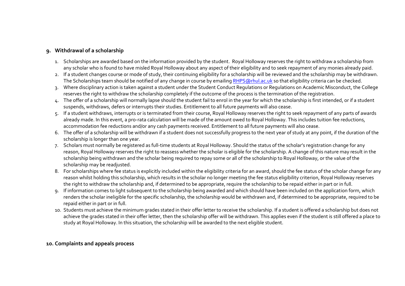# **9. Withdrawal of a scholarship**

- 1. Scholarships are awarded based on the information provided by the student. Royal Holloway reserves the right to withdraw a scholarship from any scholar who is found to have misled Royal Holloway about any aspect of their eligibility and to seek repayment of any monies already paid.
- 2. If a student changes course or mode of study, their continuing eligibility for a scholarship will be reviewed and the scholarship may be withdrawn. The Scholarships team should be notified of any change in course by emailin[g RHPS@rhul.ac.uk](mailto:RHPS@rhul.ac.uk) so that eligibility criteria can be checked.
- 3. Where disciplinary action is taken against a student under the Student Conduct Regulations or Regulations on Academic Misconduct, the College reserves the right to withdraw the scholarship completely if the outcome of the process is the termination of the registration.
- 4. The offer of a scholarship will normally lapse should the student fail to enrol in the year for which the scholarship is first intended, or if a student suspends, withdraws, defers or interrupts their studies. Entitlement to all future payments will also cease.
- 5. If a student withdraws, interrupts or is terminated from their course, Royal Holloway reserves the right to seek repayment of any parts of awards already made. In this event, a pro-rata calculation will be made of the amount owed to Royal Holloway. This includes tuition fee reductions, accommodation fee reductions and/or any cash payments received. Entitlement to all future payments will also cease.
- 6. The offer of a scholarship will be withdrawn if a student does not successfully progress to the next year of study at any point, if the duration of the scholarship is longer than one year.
- 7. Scholars must normally be registered as full‐time students at Royal Holloway. Should the status of the scholar's registration change for any reason, Royal Holloway reserves the right to reassess whether the scholar is eligible for the scholarship. A change of this nature may result in the scholarship being withdrawn and the scholar being required to repay some or all of the scholarship to Royal Holloway, or the value of the scholarship may be readjusted.
- 8. For scholarships where fee status is explicitly included within the eligibility criteria for an award, should the fee status of the scholar change for any reason whilst holding this scholarship, which results in the scholar no longer meeting the fee status eligibility criterion, Royal Holloway reserves the right to withdraw the scholarship and, if determined to be appropriate, require the scholarship to be repaid either in part or in full.
- 9. If information comes to light subsequent to the scholarship being awarded and which should have been included on the application form, which renders the scholar ineligible for the specific scholarship, the scholarship would be withdrawn and, if determined to be appropriate, required to be repaid either in part or in full.
- 10. Students must achieve the minimum grades stated in their offer letter to receive the scholarship. If a student is offered a scholarship but does not achieve the grades stated in their offer letter, then the scholarship offer will be withdrawn. This applies even if the student is still offered a place to study at Royal Holloway. In this situation, the scholarship will be awarded to the next eligible student.

# **10. Complaints and appeals process**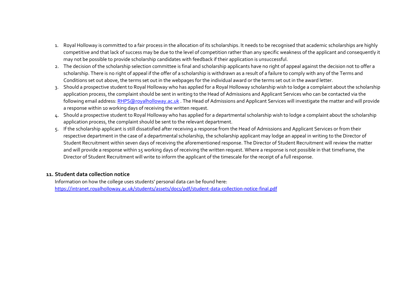- 1. Royal Holloway is committed to a fair process in the allocation of its scholarships. It needs to be recognised that academic scholarships are highly competitive and that lack of success may be due to the level of competition rather than any specific weakness of the applicant and consequently it may not be possible to provide scholarship candidates with feedback if their application is unsuccessful.
- 2. The decision of the scholarship selection committee is final and scholarship applicants have no right of appeal against the decision not to offer a scholarship. There is no right of appeal if the offer of a scholarship is withdrawn as a result of a failure to comply with any of the Terms and Conditions set out above, the terms set out in the webpages for the individual award or the terms set out in the award letter.
- 3. Should a prospective student to Royal Holloway who has applied for a Royal Holloway scholarship wish to lodge a complaint about the scholarship application process, the complaint should be sent in writing to the Head of Admissions and Applicant Services who can be contacted via the following email address[: RHPS@royalholloway.ac.uk](mailto:RHPS@royalholloway.ac.uk). The Head of Admissions and Applicant Services will investigate the matter and will provide a response within 10 working days of receiving the written request.
- 4. Should a prospective student to Royal Holloway who has applied for a departmental scholarship wish to lodge a complaint about the scholarship application process, the complaint should be sent to the relevant department.
- 5. If the scholarship applicant is still dissatisfied after receiving a response from the Head of Admissions and Applicant Services or from their respective department in the case of a departmental scholarship, the scholarship applicant may lodge an appeal in writing to the Director of Student Recruitment within seven days of receiving the aforementioned response. The Director of Student Recruitment will review the matter and will provide a response within 15 working days of receiving the written request. Where a response is not possible in that timeframe, the Director of Student Recruitment will write to inform the applicant of the timescale for the receipt of a full response.

# **11. Student data collection notice**

Information on how the college uses students' personal data can be found here: <https://intranet.royalholloway.ac.uk/students/assets/docs/pdf/student-data-collection-notice-final.pdf>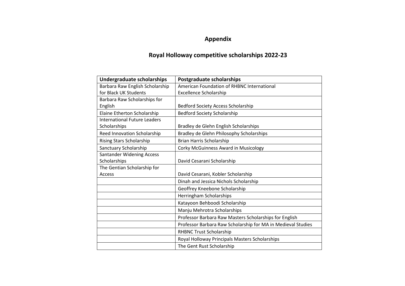# **Appendix**

# **Royal Holloway competitive scholarships 2022-23**

| Undergraduate scholarships       | <b>Postgraduate scholarships</b>                             |
|----------------------------------|--------------------------------------------------------------|
| Barbara Raw English Scholarship  | American Foundation of RHBNC International                   |
| for Black UK Students            | <b>Excellence Scholarship</b>                                |
| Barbara Raw Scholarships for     |                                                              |
| English                          | <b>Bedford Society Access Scholarship</b>                    |
| Elaine Etherton Scholarship      | <b>Bedford Society Scholarship</b>                           |
| International Future Leaders     |                                                              |
| Scholarships                     | Bradley de Glehn English Scholarships                        |
| Reed Innovation Scholarship      | Bradley de Glehn Philosophy Scholarships                     |
| <b>Rising Stars Scholarship</b>  | Brian Harris Scholarship                                     |
| Sanctuary Scholarship            | Corky McGuinness Award in Musicology                         |
| <b>Santander Widening Access</b> |                                                              |
| Scholarships                     | David Cesarani Scholarship                                   |
| The Gentian Scholarship for      |                                                              |
| Access                           | David Cesarani, Kobler Scholarship                           |
|                                  | Dinah and Jessica Nichols Scholarship                        |
|                                  | Geoffrey Kneebone Scholarship                                |
|                                  | Herringham Scholarships                                      |
|                                  | Katayoon Behboodi Scholarship                                |
|                                  | Manju Mehrotra Scholarships                                  |
|                                  | Professor Barbara Raw Masters Scholarships for English       |
|                                  | Professor Barbara Raw Scholarship for MA in Medieval Studies |
|                                  | <b>RHBNC Trust Scholarship</b>                               |
|                                  | Royal Holloway Principals Masters Scholarships               |
|                                  | The Gent Rust Scholarship                                    |